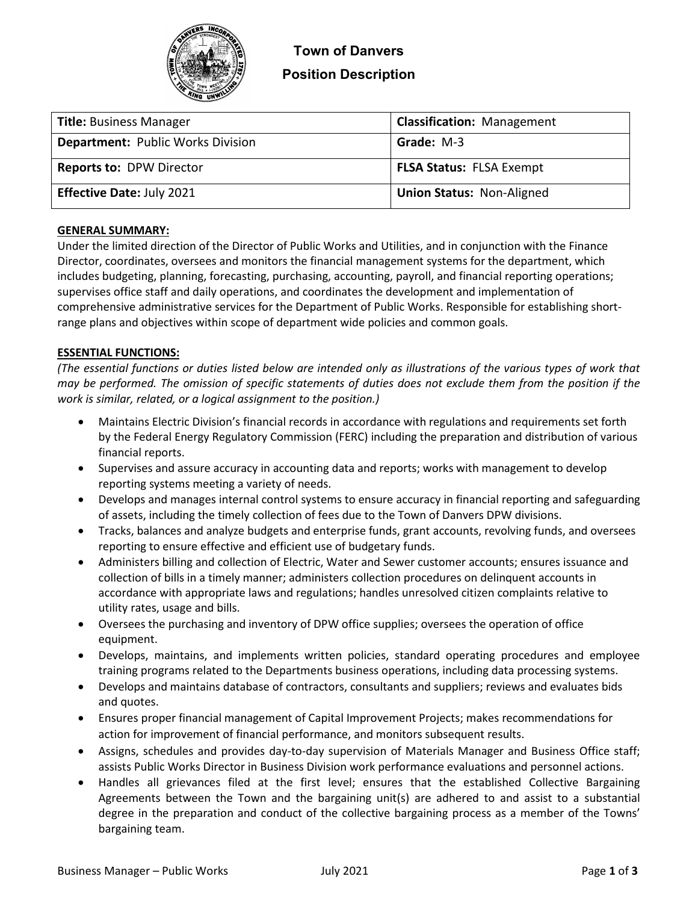

| <b>Title: Business Manager</b>           | <b>Classification: Management</b> |
|------------------------------------------|-----------------------------------|
| <b>Department: Public Works Division</b> | Grade: M-3                        |
| <b>Reports to: DPW Director</b>          | <b>FLSA Status: FLSA Exempt</b>   |
| <b>Effective Date: July 2021</b>         | <b>Union Status: Non-Aligned</b>  |

## **GENERAL SUMMARY:**

Under the limited direction of the Director of Public Works and Utilities, and in conjunction with the Finance Director, coordinates, oversees and monitors the financial management systems for the department, which includes budgeting, planning, forecasting, purchasing, accounting, payroll, and financial reporting operations; supervises office staff and daily operations, and coordinates the development and implementation of comprehensive administrative services for the Department of Public Works. Responsible for establishing shortrange plans and objectives within scope of department wide policies and common goals.

### **ESSENTIAL FUNCTIONS:**

*(The essential functions or duties listed below are intended only as illustrations of the various types of work that may be performed. The omission of specific statements of duties does not exclude them from the position if the work is similar, related, or a logical assignment to the position.)*

- Maintains Electric Division's financial records in accordance with regulations and requirements set forth by the Federal Energy Regulatory Commission (FERC) including the preparation and distribution of various financial reports.
- Supervises and assure accuracy in accounting data and reports; works with management to develop reporting systems meeting a variety of needs.
- Develops and manages internal control systems to ensure accuracy in financial reporting and safeguarding of assets, including the timely collection of fees due to the Town of Danvers DPW divisions.
- Tracks, balances and analyze budgets and enterprise funds, grant accounts, revolving funds, and oversees reporting to ensure effective and efficient use of budgetary funds.
- Administers billing and collection of Electric, Water and Sewer customer accounts; ensures issuance and collection of bills in a timely manner; administers collection procedures on delinquent accounts in accordance with appropriate laws and regulations; handles unresolved citizen complaints relative to utility rates, usage and bills.
- Oversees the purchasing and inventory of DPW office supplies; oversees the operation of office equipment.
- Develops, maintains, and implements written policies, standard operating procedures and employee training programs related to the Departments business operations, including data processing systems.
- Develops and maintains database of contractors, consultants and suppliers; reviews and evaluates bids and quotes.
- Ensures proper financial management of Capital Improvement Projects; makes recommendations for action for improvement of financial performance, and monitors subsequent results.
- Assigns, schedules and provides day-to-day supervision of Materials Manager and Business Office staff; assists Public Works Director in Business Division work performance evaluations and personnel actions.
- Handles all grievances filed at the first level; ensures that the established Collective Bargaining Agreements between the Town and the bargaining unit(s) are adhered to and assist to a substantial degree in the preparation and conduct of the collective bargaining process as a member of the Towns' bargaining team.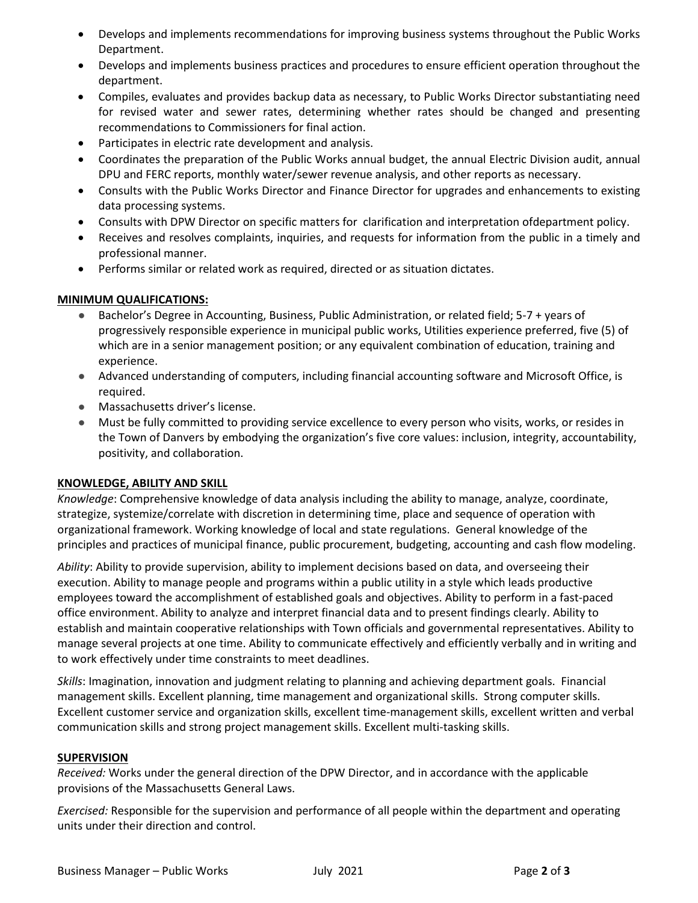- Develops and implements recommendations for improving business systems throughout the Public Works Department.
- Develops and implements business practices and procedures to ensure efficient operation throughout the department.
- Compiles, evaluates and provides backup data as necessary, to Public Works Director substantiating need for revised water and sewer rates, determining whether rates should be changed and presenting recommendations to Commissioners for final action.
- Participates in electric rate development and analysis.
- Coordinates the preparation of the Public Works annual budget, the annual Electric Division audit, annual DPU and FERC reports, monthly water/sewer revenue analysis, and other reports as necessary.
- Consults with the Public Works Director and Finance Director for upgrades and enhancements to existing data processing systems.
- Consults with DPW Director on specific matters for clarification and interpretation ofdepartment policy.
- Receives and resolves complaints, inquiries, and requests for information from the public in a timely and professional manner.
- Performs similar or related work as required, directed or as situation dictates.

## **MINIMUM QUALIFICATIONS:**

- Bachelor's Degree in Accounting, Business, Public Administration, or related field; 5-7 + years of progressively responsible experience in municipal public works, Utilities experience preferred, five (5) of which are in a senior management position; or any equivalent combination of education, training and experience.
- Advanced understanding of computers, including financial accounting software and Microsoft Office, is required.
- Massachusetts driver's license.
- Must be fully committed to providing service excellence to every person who visits, works, or resides in the Town of Danvers by embodying the organization's five core values: inclusion, integrity, accountability, positivity, and collaboration.

## **KNOWLEDGE, ABILITY AND SKILL**

*Knowledge*: Comprehensive knowledge of data analysis including the ability to manage, analyze, coordinate, strategize, systemize/correlate with discretion in determining time, place and sequence of operation with organizational framework. Working knowledge of local and state regulations. General knowledge of the principles and practices of municipal finance, public procurement, budgeting, accounting and cash flow modeling.

*Ability*: Ability to provide supervision, ability to implement decisions based on data, and overseeing their execution. Ability to manage people and programs within a public utility in a style which leads productive employees toward the accomplishment of established goals and objectives. Ability to perform in a fast-paced office environment. Ability to analyze and interpret financial data and to present findings clearly. Ability to establish and maintain cooperative relationships with Town officials and governmental representatives. Ability to manage several projects at one time. Ability to communicate effectively and efficiently verbally and in writing and to work effectively under time constraints to meet deadlines.

*Skills*: Imagination, innovation and judgment relating to planning and achieving department goals. Financial management skills. Excellent planning, time management and organizational skills. Strong computer skills. Excellent customer service and organization skills, excellent time-management skills, excellent written and verbal communication skills and strong project management skills. Excellent multi-tasking skills.

## **SUPERVISION**

*Received:* Works under the general direction of the DPW Director, and in accordance with the applicable provisions of the Massachusetts General Laws.

*Exercised:* Responsible for the supervision and performance of all people within the department and operating units under their direction and control.